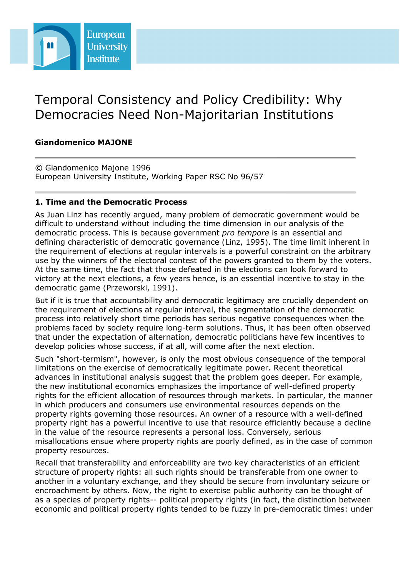

# Temporal Consistency and Policy Credibility: Why Democracies Need Non-Majoritarian Institutions

## **Giandomenico MAJONE**

© Giandomenico Majone 1996 European University Institute, Working Paper RSC No 96/57

## **1. Time and the Democratic Process**

As Juan Linz has recently argued, many problem of democratic government would be difficult to understand without including the time dimension in our analysis of the democratic process. This is because government *pro tempore* is an essential and defining characteristic of democratic governance (Linz, 1995). The time limit inherent in the requirement of elections at regular intervals is a powerful constraint on the arbitrary use by the winners of the electoral contest of the powers granted to them by the voters. At the same time, the fact that those defeated in the elections can look forward to victory at the next elections, a few years hence, is an essential incentive to stay in the democratic game (Przeworski, 1991).

But if it is true that accountability and democratic legitimacy are crucially dependent on the requirement of elections at regular interval, the segmentation of the democratic process into relatively short time periods has serious negative consequences when the problems faced by society require long-term solutions. Thus, it has been often observed that under the expectation of alternation, democratic politicians have few incentives to develop policies whose success, if at all, will come after the next election.

Such "short-termism", however, is only the most obvious consequence of the temporal limitations on the exercise of democratically legitimate power. Recent theoretical advances in institutional analysis suggest that the problem goes deeper. For example, the new institutional economics emphasizes the importance of well-defined property rights for the efficient allocation of resources through markets. In particular, the manner in which producers and consumers use environmental resources depends on the property rights governing those resources. An owner of a resource with a well-defined property right has a powerful incentive to use that resource efficiently because a decline in the value of the resource represents a personal loss. Conversely, serious misallocations ensue where property rights are poorly defined, as in the case of common property resources.

Recall that transferability and enforceability are two key characteristics of an efficient structure of property rights: all such rights should be transferable from one owner to another in a voluntary exchange, and they should be secure from involuntary seizure or encroachment by others. Now, the right to exercise public authority can be thought of as a species of property rights-- political property rights (in fact, the distinction between economic and political property rights tended to be fuzzy in pre-democratic times: under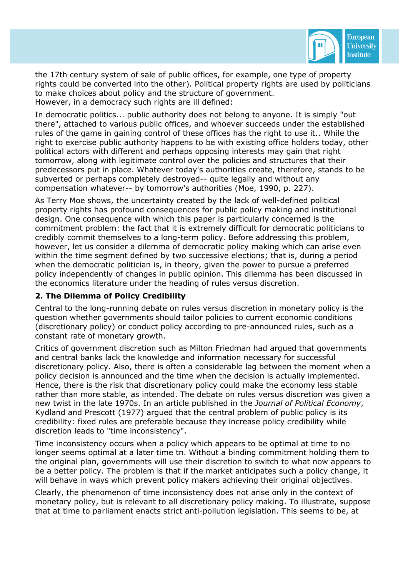

the 17th century system of sale of public offices, for example, one type of property rights could be converted into the other). Political property rights are used by politicians to make choices about policy and the structure of government. However, in a democracy such rights are ill defined:

In democratic politics... public authority does not belong to anyone. It is simply "out there", attached to various public offices, and whoever succeeds under the established rules of the game in gaining control of these offices has the right to use it.. While the right to exercise public authority happens to be with existing office holders today, other political actors with different and perhaps opposing interests may gain that right tomorrow, along with legitimate control over the policies and structures that their predecessors put in place. Whatever today's authorities create, therefore, stands to be subverted or perhaps completely destroyed-- quite legally and without any compensation whatever-- by tomorrow's authorities (Moe, 1990, p. 227).

As Terry Moe shows, the uncertainty created by the lack of well-defined political property rights has profound consequences for public policy making and institutional design. One consequence with which this paper is particularly concerned is the commitment problem: the fact that it is extremely difficult for democratic politicians to credibly commit themselves to a long-term policy. Before addressing this problem, however, let us consider a dilemma of democratic policy making which can arise even within the time segment defined by two successive elections; that is, during a period when the democratic politician is, in theory, given the power to pursue a preferred policy independently of changes in public opinion. This dilemma has been discussed in the economics literature under the heading of rules versus discretion.

#### **2. The Dilemma of Policy Credibility**

Central to the long-running debate on rules versus discretion in monetary policy is the question whether governments should tailor policies to current economic conditions (discretionary policy) or conduct policy according to pre-announced rules, such as a constant rate of monetary growth.

Critics of government discretion such as Milton Friedman had argued that governments and central banks lack the knowledge and information necessary for successful discretionary policy. Also, there is often a considerable lag between the moment when a policy decision is announced and the time when the decision is actually implemented. Hence, there is the risk that discretionary policy could make the economy less stable rather than more stable, as intended. The debate on rules versus discretion was given a new twist in the late 1970s. In an article published in the *Journal of Political Economy*, Kydland and Prescott (1977) argued that the central problem of public policy is its credibility: fixed rules are preferable because they increase policy credibility while discretion leads to "time inconsistency".

Time inconsistency occurs when a policy which appears to be optimal at time to no longer seems optimal at a later time tn. Without a binding commitment holding them to the original plan, governments will use their discretion to switch to what now appears to be a better policy. The problem is that if the market anticipates such a policy change, it will behave in ways which prevent policy makers achieving their original objectives.

Clearly, the phenomenon of time inconsistency does not arise only in the context of monetary policy, but is relevant to all discretionary policy making. To illustrate, suppose that at time to parliament enacts strict anti-pollution legislation. This seems to be, at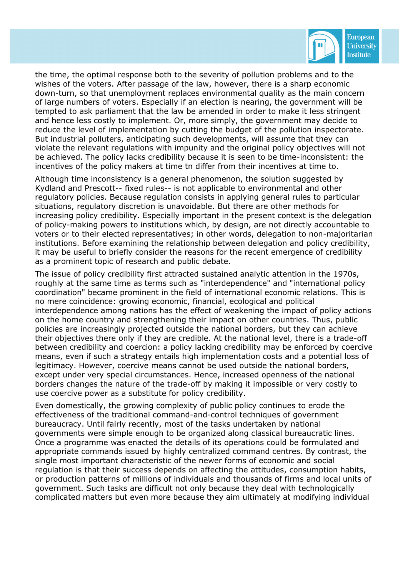

the time, the optimal response both to the severity of pollution problems and to the wishes of the voters. After passage of the law, however, there is a sharp economic down-turn, so that unemployment replaces environmental quality as the main concern of large numbers of voters. Especially if an election is nearing, the government will be tempted to ask parliament that the law be amended in order to make it less stringent and hence less costly to implement. Or, more simply, the government may decide to reduce the level of implementation by cutting the budget of the pollution inspectorate. But industrial polluters, anticipating such developments, will assume that they can violate the relevant regulations with impunity and the original policy objectives will not be achieved. The policy lacks credibility because it is seen to be time-inconsistent: the incentives of the policy makers at time tn differ from their incentives at time to.

Although time inconsistency is a general phenomenon, the solution suggested by Kydland and Prescott-- fixed rules-- is not applicable to environmental and other regulatory policies. Because regulation consists in applying general rules to particular situations, regulatory discretion is unavoidable. But there are other methods for increasing policy credibility. Especially important in the present context is the delegation of policy-making powers to institutions which, by design, are not directly accountable to voters or to their elected representatives; in other words, delegation to non-majoritarian institutions. Before examining the relationship between delegation and policy credibility, it may be useful to briefly consider the reasons for the recent emergence of credibility as a prominent topic of research and public debate.

The issue of policy credibility first attracted sustained analytic attention in the 1970s, roughly at the same time as terms such as "interdependence" and "international policy coordination" became prominent in the field of international economic relations. This is no mere coincidence: growing economic, financial, ecological and political interdependence among nations has the effect of weakening the impact of policy actions on the home country and strengthening their impact on other countries. Thus, public policies are increasingly projected outside the national borders, but they can achieve their objectives there only if they are credible. At the national level, there is a trade-off between credibility and coercion: a policy lacking credibility may be enforced by coercive means, even if such a strategy entails high implementation costs and a potential loss of legitimacy. However, coercive means cannot be used outside the national borders, except under very special circumstances. Hence, increased openness of the national borders changes the nature of the trade-off by making it impossible or very costly to use coercive power as a substitute for policy credibility.

Even domestically, the growing complexity of public policy continues to erode the effectiveness of the traditional command-and-control techniques of government bureaucracy. Until fairly recently, most of the tasks undertaken by national governments were simple enough to be organized along classical bureaucratic lines. Once a programme was enacted the details of its operations could be formulated and appropriate commands issued by highly centralized command centres. By contrast, the single most important characteristic of the newer forms of economic and social regulation is that their success depends on affecting the attitudes, consumption habits, or production patterns of millions of individuals and thousands of firms and local units of government. Such tasks are difficult not only because they deal with technologically complicated matters but even more because they aim ultimately at modifying individual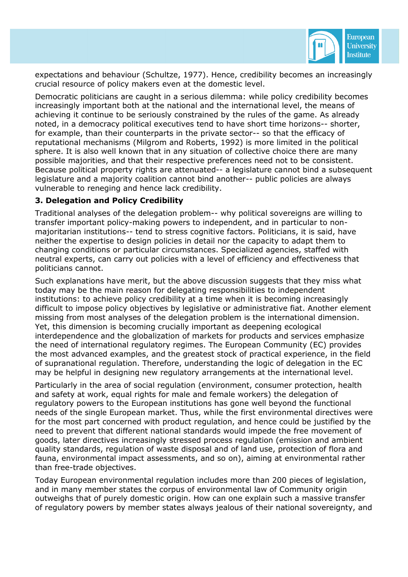

expectations and behaviour (Schultze, 1977). Hence, credibility becomes an increasingly crucial resource of policy makers even at the domestic level.

Democratic politicians are caught in a serious dilemma: while policy credibility becomes increasingly important both at the national and the international level, the means of achieving it continue to be seriously constrained by the rules of the game. As already noted, in a democracy political executives tend to have short time horizons-- shorter, for example, than their counterparts in the private sector-- so that the efficacy of reputational mechanisms (Milgrom and Roberts, 1992) is more limited in the political sphere. It is also well known that in any situation of collective choice there are many possible majorities, and that their respective preferences need not to be consistent. Because political property rights are attenuated-- a legislature cannot bind a subsequent legislature and a majority coalition cannot bind another-- public policies are always vulnerable to reneging and hence lack credibility.

#### **3. Delegation and Policy Credibility**

Traditional analyses of the delegation problem-- why political sovereigns are willing to transfer important policy-making powers to independent, and in particular to nonmajoritarian institutions-- tend to stress cognitive factors. Politicians, it is said, have neither the expertise to design policies in detail nor the capacity to adapt them to changing conditions or particular circumstances. Specialized agencies, staffed with neutral experts, can carry out policies with a level of efficiency and effectiveness that politicians cannot.

Such explanations have merit, but the above discussion suggests that they miss what today may be the main reason for delegating responsibilities to independent institutions: to achieve policy credibility at a time when it is becoming increasingly difficult to impose policy objectives by legislative or administrative fiat. Another element missing from most analyses of the delegation problem is the international dimension. Yet, this dimension is becoming crucially important as deepening ecological interdependence and the globalization of markets for products and services emphasize the need of international regulatory regimes. The European Community (EC) provides the most advanced examples, and the greatest stock of practical experience, in the field of supranational regulation. Therefore, understanding the logic of delegation in the EC may be helpful in designing new regulatory arrangements at the international level.

Particularly in the area of social regulation (environment, consumer protection, health and safety at work, equal rights for male and female workers) the delegation of regulatory powers to the European institutions has gone well beyond the functional needs of the single European market. Thus, while the first environmental directives were for the most part concerned with product regulation, and hence could be justified by the need to prevent that different national standards would impede the free movement of goods, later directives increasingly stressed process regulation (emission and ambient quality standards, regulation of waste disposal and of land use, protection of flora and fauna, environmental impact assessments, and so on), aiming at environmental rather than free-trade objectives.

Today European environmental regulation includes more than 200 pieces of legislation, and in many member states the corpus of environmental law of Community origin outweighs that of purely domestic origin. How can one explain such a massive transfer of regulatory powers by member states always jealous of their national sovereignty, and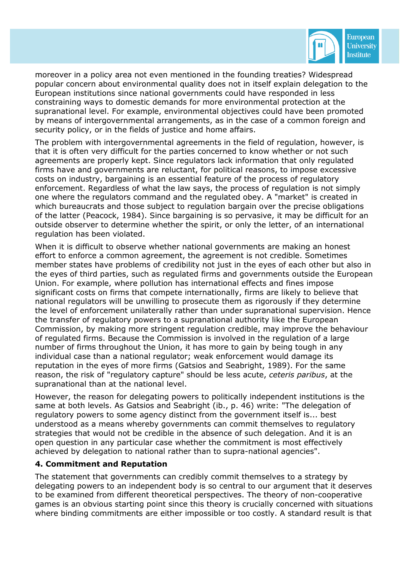

moreover in a policy area not even mentioned in the founding treaties? Widespread popular concern about environmental quality does not in itself explain delegation to the European institutions since national governments could have responded in less constraining ways to domestic demands for more environmental protection at the supranational level. For example, environmental objectives could have been promoted by means of intergovernmental arrangements, as in the case of a common foreign and security policy, or in the fields of justice and home affairs.

The problem with intergovernmental agreements in the field of regulation, however, is that it is often very difficult for the parties concerned to know whether or not such agreements are properly kept. Since regulators lack information that only regulated firms have and governments are reluctant, for political reasons, to impose excessive costs on industry, bargaining is an essential feature of the process of regulatory enforcement. Regardless of what the law says, the process of regulation is not simply one where the regulators command and the regulated obey. A "market" is created in which bureaucrats and those subject to regulation bargain over the precise obligations of the latter (Peacock, 1984). Since bargaining is so pervasive, it may be difficult for an outside observer to determine whether the spirit, or only the letter, of an international regulation has been violated.

When it is difficult to observe whether national governments are making an honest effort to enforce a common agreement, the agreement is not credible. Sometimes member states have problems of credibility not just in the eyes of each other but also in the eyes of third parties, such as regulated firms and governments outside the European Union. For example, where pollution has international effects and fines impose significant costs on firms that compete internationally, firms are likely to believe that national regulators will be unwilling to prosecute them as rigorously if they determine the level of enforcement unilaterally rather than under supranational supervision. Hence the transfer of regulatory powers to a supranational authority like the European Commission, by making more stringent regulation credible, may improve the behaviour of regulated firms. Because the Commission is involved in the regulation of a large number of firms throughout the Union, it has more to gain by being tough in any individual case than a national regulator; weak enforcement would damage its reputation in the eyes of more firms (Gatsios and Seabright, 1989). For the same reason, the risk of "regulatory capture" should be less acute, *ceteris paribus*, at the supranational than at the national level.

However, the reason for delegating powers to politically independent institutions is the same at both levels. As Gatsios and Seabright (ib., p. 46) write: "The delegation of regulatory powers to some agency distinct from the government itself is... best understood as a means whereby governments can commit themselves to regulatory strategies that would not be credible in the absence of such delegation. And it is an open question in any particular case whether the commitment is most effectively achieved by delegation to national rather than to supra-national agencies".

#### **4. Commitment and Reputation**

The statement that governments can credibly commit themselves to a strategy by delegating powers to an independent body is so central to our argument that it deserves to be examined from different theoretical perspectives. The theory of non-cooperative games is an obvious starting point since this theory is crucially concerned with situations where binding commitments are either impossible or too costly. A standard result is that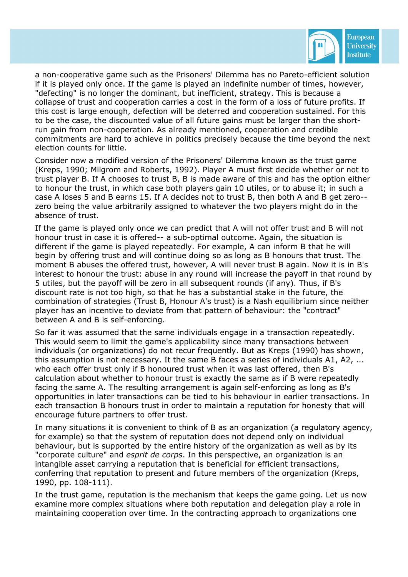

a non-cooperative game such as the Prisoners' Dilemma has no Pareto-efficient solution if it is played only once. If the game is played an indefinite number of times, however, "defecting" is no longer the dominant, but inefficient, strategy. This is because a collapse of trust and cooperation carries a cost in the form of a loss of future profits. If this cost is large enough, defection will be deterred and cooperation sustained. For this to be the case, the discounted value of all future gains must be larger than the shortrun gain from non-cooperation. As already mentioned, cooperation and credible commitments are hard to achieve in politics precisely because the time beyond the next election counts for little.

Consider now a modified version of the Prisoners' Dilemma known as the trust game (Kreps, 1990; Milgrom and Roberts, 1992). Player A must first decide whether or not to trust player B. If A chooses to trust B, B is made aware of this and has the option either to honour the trust, in which case both players gain 10 utiles, or to abuse it; in such a case A loses 5 and B earns 15. If A decides not to trust B, then both A and B get zero- zero being the value arbitrarily assigned to whatever the two players might do in the absence of trust.

If the game is played only once we can predict that A will not offer trust and B will not honour trust in case it is offered-- a sub-optimal outcome. Again, the situation is different if the game is played repeatedly. For example, A can inform B that he will begin by offering trust and will continue doing so as long as B honours that trust. The moment B abuses the offered trust, however, A will never trust B again. Now it is in B's interest to honour the trust: abuse in any round will increase the payoff in that round by 5 utiles, but the payoff will be zero in all subsequent rounds (if any). Thus, if B's discount rate is not too high, so that he has a substantial stake in the future, the combination of strategies (Trust B, Honour A's trust) is a Nash equilibrium since neither player has an incentive to deviate from that pattern of behaviour: the "contract" between A and B is self-enforcing.

So far it was assumed that the same individuals engage in a transaction repeatedly. This would seem to limit the game's applicability since many transactions between individuals (or organizations) do not recur frequently. But as Kreps (1990) has shown, this assumption is not necessary. It the same B faces a series of individuals A1, A2, ... who each offer trust only if B honoured trust when it was last offered, then B's calculation about whether to honour trust is exactly the same as if B were repeatedly facing the same A. The resulting arrangement is again self-enforcing as long as B's opportunities in later transactions can be tied to his behaviour in earlier transactions. In each transaction B honours trust in order to maintain a reputation for honesty that will encourage future partners to offer trust.

In many situations it is convenient to think of B as an organization (a regulatory agency, for example) so that the system of reputation does not depend only on individual behaviour, but is supported by the entire history of the organization as well as by its "corporate culture" and *esprit de corps*. In this perspective, an organization is an intangible asset carrying a reputation that is beneficial for efficient transactions, conferring that reputation to present and future members of the organization (Kreps, 1990, pp. 108-111).

In the trust game, reputation is the mechanism that keeps the game going. Let us now examine more complex situations where both reputation and delegation play a role in maintaining cooperation over time. In the contracting approach to organizations one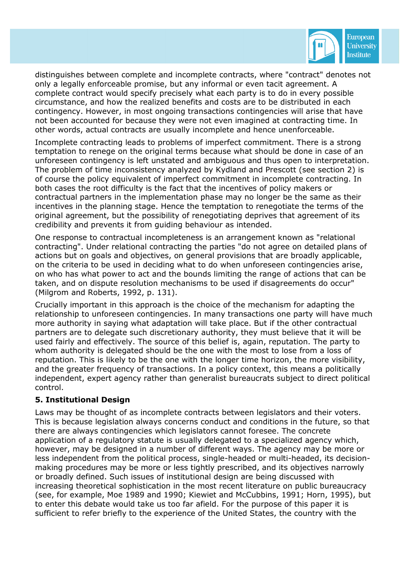

distinguishes between complete and incomplete contracts, where "contract" denotes not only a legally enforceable promise, but any informal or even tacit agreement. A complete contract would specify precisely what each party is to do in every possible circumstance, and how the realized benefits and costs are to be distributed in each contingency. However, in most ongoing transactions contingencies will arise that have not been accounted for because they were not even imagined at contracting time. In other words, actual contracts are usually incomplete and hence unenforceable.

Incomplete contracting leads to problems of imperfect commitment. There is a strong temptation to renege on the original terms because what should be done in case of an unforeseen contingency is left unstated and ambiguous and thus open to interpretation. The problem of time inconsistency analyzed by Kydland and Prescott (see section 2) is of course the policy equivalent of imperfect commitment in incomplete contracting. In both cases the root difficulty is the fact that the incentives of policy makers or contractual partners in the implementation phase may no longer be the same as their incentives in the planning stage. Hence the temptation to renegotiate the terms of the original agreement, but the possibility of renegotiating deprives that agreement of its credibility and prevents it from guiding behaviour as intended.

One response to contractual incompleteness is an arrangement known as "relational contracting". Under relational contracting the parties "do not agree on detailed plans of actions but on goals and objectives, on general provisions that are broadly applicable, on the criteria to be used in deciding what to do when unforeseen contingencies arise, on who has what power to act and the bounds limiting the range of actions that can be taken, and on dispute resolution mechanisms to be used if disagreements do occur" (Milgrom and Roberts, 1992, p. 131).

Crucially important in this approach is the choice of the mechanism for adapting the relationship to unforeseen contingencies. In many transactions one party will have much more authority in saying what adaptation will take place. But if the other contractual partners are to delegate such discretionary authority, they must believe that it will be used fairly and effectively. The source of this belief is, again, reputation. The party to whom authority is delegated should be the one with the most to lose from a loss of reputation. This is likely to be the one with the longer time horizon, the more visibility, and the greater frequency of transactions. In a policy context, this means a politically independent, expert agency rather than generalist bureaucrats subject to direct political control.

#### **5. Institutional Design**

Laws may be thought of as incomplete contracts between legislators and their voters. This is because legislation always concerns conduct and conditions in the future, so that there are always contingencies which legislators cannot foresee. The concrete application of a regulatory statute is usually delegated to a specialized agency which, however, may be designed in a number of different ways. The agency may be more or less independent from the political process, single-headed or multi-headed, its decisionmaking procedures may be more or less tightly prescribed, and its objectives narrowly or broadly defined. Such issues of institutional design are being discussed with increasing theoretical sophistication in the most recent literature on public bureaucracy (see, for example, Moe 1989 and 1990; Kiewiet and McCubbins, 1991; Horn, 1995), but to enter this debate would take us too far afield. For the purpose of this paper it is sufficient to refer briefly to the experience of the United States, the country with the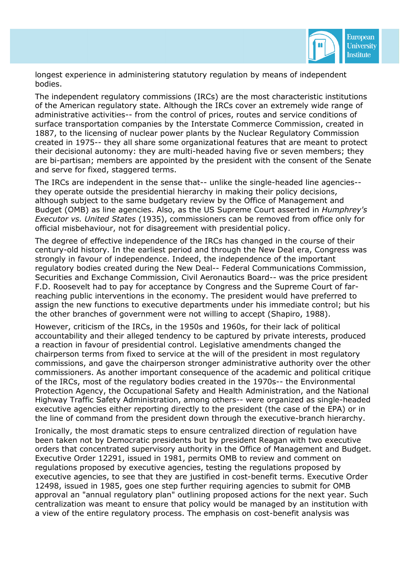

longest experience in administering statutory regulation by means of independent bodies.

The independent regulatory commissions (IRCs) are the most characteristic institutions of the American regulatory state. Although the IRCs cover an extremely wide range of administrative activities-- from the control of prices, routes and service conditions of surface transportation companies by the Interstate Commerce Commission, created in 1887, to the licensing of nuclear power plants by the Nuclear Regulatory Commission created in 1975-- they all share some organizational features that are meant to protect their decisional autonomy: they are multi-headed having five or seven members; they are bi-partisan; members are appointed by the president with the consent of the Senate and serve for fixed, staggered terms.

The IRCs are independent in the sense that-- unlike the single-headed line agencies- they operate outside the presidential hierarchy in making their policy decisions, although subject to the same budgetary review by the Office of Management and Budget (OMB) as line agencies. Also, as the US Supreme Court asserted in *Humphrey's Executor vs. United States* (1935), commissioners can be removed from office only for official misbehaviour, not for disagreement with presidential policy.

The degree of effective independence of the IRCs has changed in the course of their century-old history. In the earliest period and through the New Deal era, Congress was strongly in favour of independence. Indeed, the independence of the important regulatory bodies created during the New Deal-- Federal Communications Commission, Securities and Exchange Commission, Civil Aeronautics Board-- was the price president F.D. Roosevelt had to pay for acceptance by Congress and the Supreme Court of farreaching public interventions in the economy. The president would have preferred to assign the new functions to executive departments under his immediate control; but his the other branches of government were not willing to accept (Shapiro, 1988).

However, criticism of the IRCs, in the 1950s and 1960s, for their lack of political accountability and their alleged tendency to be captured by private interests, produced a reaction in favour of presidential control. Legislative amendments changed the chairperson terms from fixed to service at the will of the president in most regulatory commissions, and gave the chairperson stronger administrative authority over the other commissioners. As another important consequence of the academic and political critique of the IRCs, most of the regulatory bodies created in the 1970s-- the Environmental Protection Agency, the Occupational Safety and Health Administration, and the National Highway Traffic Safety Administration, among others-- were organized as single-headed executive agencies either reporting directly to the president (the case of the EPA) or in the line of command from the president down through the executive-branch hierarchy.

Ironically, the most dramatic steps to ensure centralized direction of regulation have been taken not by Democratic presidents but by president Reagan with two executive orders that concentrated supervisory authority in the Office of Management and Budget. Executive Order 12291, issued in 1981, permits OMB to review and comment on regulations proposed by executive agencies, testing the regulations proposed by executive agencies, to see that they are justified in cost-benefit terms. Executive Order 12498, issued in 1985, goes one step further requiring agencies to submit for OMB approval an "annual regulatory plan" outlining proposed actions for the next year. Such centralization was meant to ensure that policy would be managed by an institution with a view of the entire regulatory process. The emphasis on cost-benefit analysis was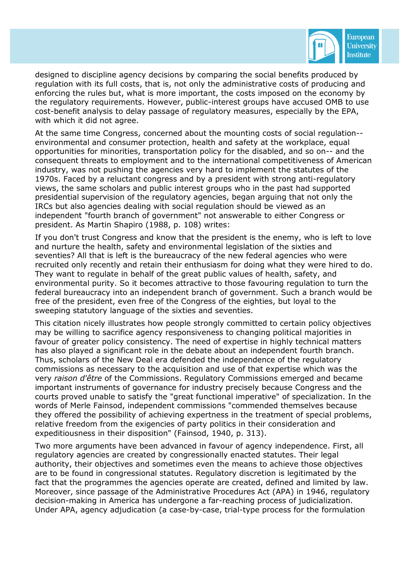

designed to discipline agency decisions by comparing the social benefits produced by regulation with its full costs, that is, not only the administrative costs of producing and enforcing the rules but, what is more important, the costs imposed on the economy by the regulatory requirements. However, public-interest groups have accused OMB to use cost-benefit analysis to delay passage of regulatory measures, especially by the EPA, with which it did not agree.

At the same time Congress, concerned about the mounting costs of social regulation- environmental and consumer protection, health and safety at the workplace, equal opportunities for minorities, transportation policy for the disabled, and so on-- and the consequent threats to employment and to the international competitiveness of American industry, was not pushing the agencies very hard to implement the statutes of the 1970s. Faced by a reluctant congress and by a president with strong anti-regulatory views, the same scholars and public interest groups who in the past had supported presidential supervision of the regulatory agencies, began arguing that not only the IRCs but also agencies dealing with social regulation should be viewed as an independent "fourth branch of government" not answerable to either Congress or president. As Martin Shapiro (1988, p. 108) writes:

If you don't trust Congress and know that the president is the enemy, who is left to love and nurture the health, safety and environmental legislation of the sixties and seventies? All that is left is the bureaucracy of the new federal agencies who were recruited only recently and retain their enthusiasm for doing what they were hired to do. They want to regulate in behalf of the great public values of health, safety, and environmental purity. So it becomes attractive to those favouring regulation to turn the federal bureaucracy into an independent branch of government. Such a branch would be free of the president, even free of the Congress of the eighties, but loyal to the sweeping statutory language of the sixties and seventies.

This citation nicely illustrates how people strongly committed to certain policy objectives may be willing to sacrifice agency responsiveness to changing political majorities in favour of greater policy consistency. The need of expertise in highly technical matters has also played a significant role in the debate about an independent fourth branch. Thus, scholars of the New Deal era defended the independence of the regulatory commissions as necessary to the acquisition and use of that expertise which was the very *raison d'être* of the Commissions. Regulatory Commissions emerged and became important instruments of governance for industry precisely because Congress and the courts proved unable to satisfy the "great functional imperative" of specialization. In the words of Merle Fainsod, independent commissions "commended themselves because they offered the possibility of achieving expertness in the treatment of special problems, relative freedom from the exigencies of party politics in their consideration and expeditiousness in their disposition" (Fainsod, 1940, p. 313).

Two more arguments have been advanced in favour of agency independence. First, all regulatory agencies are created by congressionally enacted statutes. Their legal authority, their objectives and sometimes even the means to achieve those objectives are to be found in congressional statutes. Regulatory discretion is legitimated by the fact that the programmes the agencies operate are created, defined and limited by law. Moreover, since passage of the Administrative Procedures Act (APA) in 1946, regulatory decision-making in America has undergone a far-reaching process of judicialization. Under APA, agency adjudication (a case-by-case, trial-type process for the formulation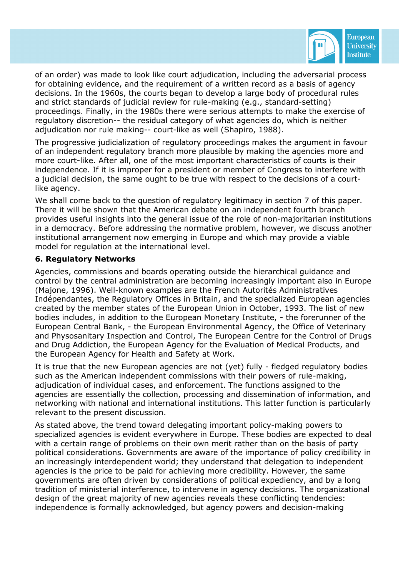

of an order) was made to look like court adjudication, including the adversarial process for obtaining evidence, and the requirement of a written record as a basis of agency decisions. In the 1960s, the courts began to develop a large body of procedural rules and strict standards of judicial review for rule-making (e.g., standard-setting) proceedings. Finally, in the 1980s there were serious attempts to make the exercise of regulatory discretion-- the residual category of what agencies do, which is neither adjudication nor rule making-- court-like as well (Shapiro, 1988).

The progressive judicialization of regulatory proceedings makes the argument in favour of an independent regulatory branch more plausible by making the agencies more and more court-like. After all, one of the most important characteristics of courts is their independence. If it is improper for a president or member of Congress to interfere with a judicial decision, the same ought to be true with respect to the decisions of a courtlike agency.

We shall come back to the question of regulatory legitimacy in section 7 of this paper. There it will be shown that the American debate on an independent fourth branch provides useful insights into the general issue of the role of non-majoritarian institutions in a democracy. Before addressing the normative problem, however, we discuss another institutional arrangement now emerging in Europe and which may provide a viable model for regulation at the international level.

#### **6. Regulatory Networks**

Agencies, commissions and boards operating outside the hierarchical guidance and control by the central administration are becoming increasingly important also in Europe (Majone, 1996). Well-known examples are the French Autorités Administratives Indépendantes, the Regulatory Offices in Britain, and the specialized European agencies created by the member states of the European Union in October, 1993. The list of new bodies includes, in addition to the European Monetary Institute, - the forerunner of the European Central Bank, - the European Environmental Agency, the Office of Veterinary and Physosanitary Inspection and Control, The European Centre for the Control of Drugs and Drug Addiction, the European Agency for the Evaluation of Medical Products, and the European Agency for Health and Safety at Work.

It is true that the new European agencies are not (yet) fully - fledged regulatory bodies such as the American independent commissions with their powers of rule-making, adjudication of individual cases, and enforcement. The functions assigned to the agencies are essentially the collection, processing and dissemination of information, and networking with national and international institutions. This latter function is particularly relevant to the present discussion.

As stated above, the trend toward delegating important policy-making powers to specialized agencies is evident everywhere in Europe. These bodies are expected to deal with a certain range of problems on their own merit rather than on the basis of party political considerations. Governments are aware of the importance of policy credibility in an increasingly interdependent world; they understand that delegation to independent agencies is the price to be paid for achieving more credibility. However, the same governments are often driven by considerations of political expediency, and by a long tradition of ministerial interference, to intervene in agency decisions. The organizational design of the great majority of new agencies reveals these conflicting tendencies: independence is formally acknowledged, but agency powers and decision-making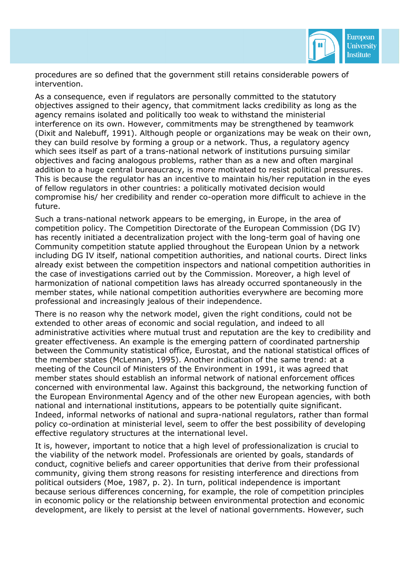

procedures are so defined that the government still retains considerable powers of intervention.

As a consequence, even if regulators are personally committed to the statutory objectives assigned to their agency, that commitment lacks credibility as long as the agency remains isolated and politically too weak to withstand the ministerial interference on its own. However, commitments may be strengthened by teamwork (Dixit and Nalebuff, 1991). Although people or organizations may be weak on their own, they can build resolve by forming a group or a network. Thus, a regulatory agency which sees itself as part of a trans-national network of institutions pursuing similar objectives and facing analogous problems, rather than as a new and often marginal addition to a huge central bureaucracy, is more motivated to resist political pressures. This is because the regulator has an incentive to maintain his/her reputation in the eyes of fellow regulators in other countries: a politically motivated decision would compromise his/ her credibility and render co-operation more difficult to achieve in the future.

Such a trans-national network appears to be emerging, in Europe, in the area of competition policy. The Competition Directorate of the European Commission (DG IV) has recently initiated a decentralization project with the long-term goal of having one Community competition statute applied throughout the European Union by a network including DG IV itself, national competition authorities, and national courts. Direct links already exist between the competition inspectors and national competition authorities in the case of investigations carried out by the Commission. Moreover, a high level of harmonization of national competition laws has already occurred spontaneously in the member states, while national competition authorities everywhere are becoming more professional and increasingly jealous of their independence.

There is no reason why the network model, given the right conditions, could not be extended to other areas of economic and social regulation, and indeed to all administrative activities where mutual trust and reputation are the key to credibility and greater effectiveness. An example is the emerging pattern of coordinated partnership between the Community statistical office, Eurostat, and the national statistical offices of the member states (McLennan, 1995). Another indication of the same trend: at a meeting of the Council of Ministers of the Environment in 1991, it was agreed that member states should establish an informal network of national enforcement offices concerned with environmental law. Against this background, the networking function of the European Environmental Agency and of the other new European agencies, with both national and international institutions, appears to be potentially quite significant. Indeed, informal networks of national and supra-national regulators, rather than formal policy co-ordination at ministerial level, seem to offer the best possibility of developing effective regulatory structures at the international level.

It is, however, important to notice that a high level of professionalization is crucial to the viability of the network model. Professionals are oriented by goals, standards of conduct, cognitive beliefs and career opportunities that derive from their professional community, giving them strong reasons for resisting interference and directions from political outsiders (Moe, 1987, p. 2). In turn, political independence is important because serious differences concerning, for example, the role of competition principles in economic policy or the relationship between environmental protection and economic development, are likely to persist at the level of national governments. However, such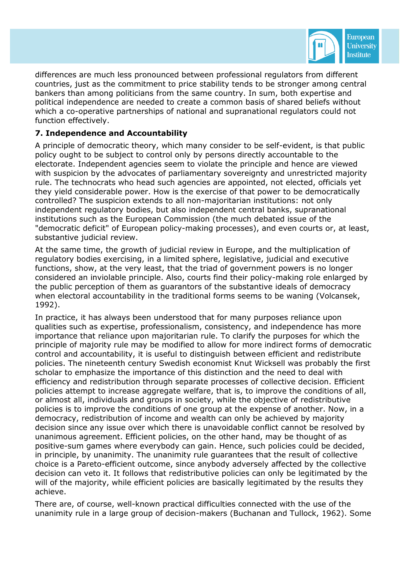

differences are much less pronounced between professional regulators from different countries, just as the commitment to price stability tends to be stronger among central bankers than among politicians from the same country. In sum, both expertise and political independence are needed to create a common basis of shared beliefs without which a co-operative partnerships of national and supranational regulators could not function effectively.

## **7. Independence and Accountability**

A principle of democratic theory, which many consider to be self-evident, is that public policy ought to be subject to control only by persons directly accountable to the electorate. Independent agencies seem to violate the principle and hence are viewed with suspicion by the advocates of parliamentary sovereignty and unrestricted majority rule. The technocrats who head such agencies are appointed, not elected, officials yet they yield considerable power. How is the exercise of that power to be democratically controlled? The suspicion extends to all non-majoritarian institutions: not only independent regulatory bodies, but also independent central banks, supranational institutions such as the European Commission (the much debated issue of the "democratic deficit" of European policy-making processes), and even courts or, at least, substantive judicial review.

At the same time, the growth of judicial review in Europe, and the multiplication of regulatory bodies exercising, in a limited sphere, legislative, judicial and executive functions, show, at the very least, that the triad of government powers is no longer considered an inviolable principle. Also, courts find their policy-making role enlarged by the public perception of them as guarantors of the substantive ideals of democracy when electoral accountability in the traditional forms seems to be waning (Volcansek, 1992).

In practice, it has always been understood that for many purposes reliance upon qualities such as expertise, professionalism, consistency, and independence has more importance that reliance upon majoritarian rule. To clarify the purposes for which the principle of majority rule may be modified to allow for more indirect forms of democratic control and accountability, it is useful to distinguish between efficient and redistribute policies. The nineteenth century Swedish economist Knut Wicksell was probably the first scholar to emphasize the importance of this distinction and the need to deal with efficiency and redistribution through separate processes of collective decision. Efficient policies attempt to increase aggregate welfare, that is, to improve the conditions of all, or almost all, individuals and groups in society, while the objective of redistributive policies is to improve the conditions of one group at the expense of another. Now, in a democracy, redistribution of income and wealth can only be achieved by majority decision since any issue over which there is unavoidable conflict cannot be resolved by unanimous agreement. Efficient policies, on the other hand, may be thought of as positive-sum games where everybody can gain. Hence, such policies could be decided, in principle, by unanimity. The unanimity rule guarantees that the result of collective choice is a Pareto-efficient outcome, since anybody adversely affected by the collective decision can veto it. It follows that redistributive policies can only be legitimated by the will of the majority, while efficient policies are basically legitimated by the results they achieve.

There are, of course, well-known practical difficulties connected with the use of the unanimity rule in a large group of decision-makers (Buchanan and Tullock, 1962). Some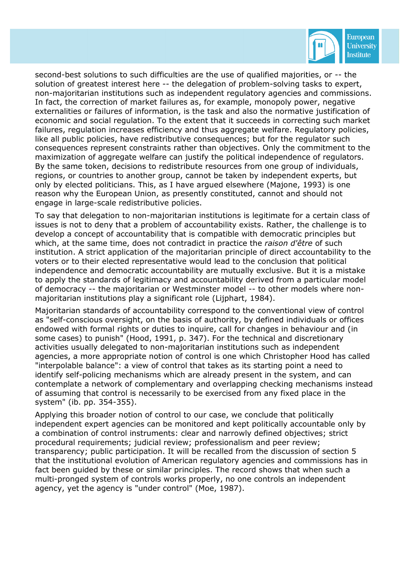

second-best solutions to such difficulties are the use of qualified majorities, or -- the solution of greatest interest here -- the delegation of problem-solving tasks to expert, non-majoritarian institutions such as independent regulatory agencies and commissions. In fact, the correction of market failures as, for example, monopoly power, negative externalities or failures of information, is the task and also the normative justification of economic and social regulation. To the extent that it succeeds in correcting such market failures, regulation increases efficiency and thus aggregate welfare. Regulatory policies, like all public policies, have redistributive consequences; but for the regulator such consequences represent constraints rather than objectives. Only the commitment to the maximization of aggregate welfare can justify the political independence of regulators. By the same token, decisions to redistribute resources from one group of individuals, regions, or countries to another group, cannot be taken by independent experts, but only by elected politicians. This, as I have argued elsewhere (Majone, 1993) is one reason why the European Union, as presently constituted, cannot and should not engage in large-scale redistributive policies.

To say that delegation to non-majoritarian institutions is legitimate for a certain class of issues is not to deny that a problem of accountability exists. Rather, the challenge is to develop a concept of accountability that is compatible with democratic principles but which, at the same time, does not contradict in practice the *raison d'être* of such institution. A strict application of the majoritarian principle of direct accountability to the voters or to their elected representative would lead to the conclusion that political independence and democratic accountability are mutually exclusive. But it is a mistake to apply the standards of legitimacy and accountability derived from a particular model of democracy -- the majoritarian or Westminster model -- to other models where nonmajoritarian institutions play a significant role (Lijphart, 1984).

Majoritarian standards of accountability correspond to the conventional view of control as "self-conscious oversight, on the basis of authority, by defined individuals or offices endowed with formal rights or duties to inquire, call for changes in behaviour and (in some cases) to punish" (Hood, 1991, p. 347). For the technical and discretionary activities usually delegated to non-majoritarian institutions such as independent agencies, a more appropriate notion of control is one which Christopher Hood has called "interpolable balance": a view of control that takes as its starting point a need to identify self-policing mechanisms which are already present in the system, and can contemplate a network of complementary and overlapping checking mechanisms instead of assuming that control is necessarily to be exercised from any fixed place in the system" (ib. pp. 354-355).

Applying this broader notion of control to our case, we conclude that politically independent expert agencies can be monitored and kept politically accountable only by a combination of control instruments: clear and narrowly defined objectives; strict procedural requirements; judicial review; professionalism and peer review; transparency; public participation. It will be recalled from the discussion of section 5 that the institutional evolution of American regulatory agencies and commissions has in fact been guided by these or similar principles. The record shows that when such a multi-pronged system of controls works properly, no one controls an independent agency, yet the agency is "under control" (Moe, 1987).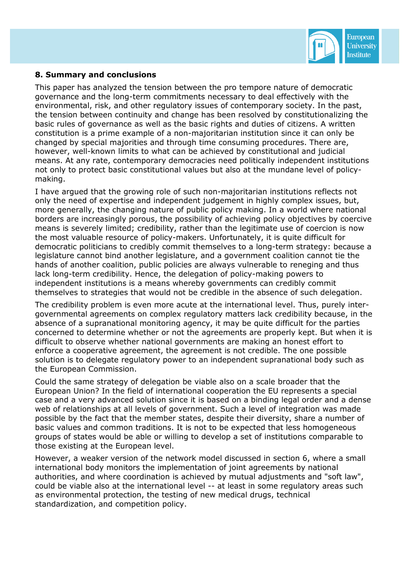

#### **8. Summary and conclusions**

This paper has analyzed the tension between the pro tempore nature of democratic governance and the long-term commitments necessary to deal effectively with the environmental, risk, and other regulatory issues of contemporary society. In the past, the tension between continuity and change has been resolved by constitutionalizing the basic rules of governance as well as the basic rights and duties of citizens. A written constitution is a prime example of a non-majoritarian institution since it can only be changed by special majorities and through time consuming procedures. There are, however, well-known limits to what can be achieved by constitutional and judicial means. At any rate, contemporary democracies need politically independent institutions not only to protect basic constitutional values but also at the mundane level of policymaking.

I have argued that the growing role of such non-majoritarian institutions reflects not only the need of expertise and independent judgement in highly complex issues, but, more generally, the changing nature of public policy making. In a world where national borders are increasingly porous, the possibility of achieving policy objectives by coercive means is severely limited; credibility, rather than the legitimate use of coercion is now the most valuable resource of policy-makers. Unfortunately, it is quite difficult for democratic politicians to credibly commit themselves to a long-term strategy: because a legislature cannot bind another legislature, and a government coalition cannot tie the hands of another coalition, public policies are always vulnerable to reneging and thus lack long-term credibility. Hence, the delegation of policy-making powers to independent institutions is a means whereby governments can credibly commit themselves to strategies that would not be credible in the absence of such delegation.

The credibility problem is even more acute at the international level. Thus, purely intergovernmental agreements on complex regulatory matters lack credibility because, in the absence of a supranational monitoring agency, it may be quite difficult for the parties concerned to determine whether or not the agreements are properly kept. But when it is difficult to observe whether national governments are making an honest effort to enforce a cooperative agreement, the agreement is not credible. The one possible solution is to delegate regulatory power to an independent supranational body such as the European Commission.

Could the same strategy of delegation be viable also on a scale broader that the European Union? In the field of international cooperation the EU represents a special case and a very advanced solution since it is based on a binding legal order and a dense web of relationships at all levels of government. Such a level of integration was made possible by the fact that the member states, despite their diversity, share a number of basic values and common traditions. It is not to be expected that less homogeneous groups of states would be able or willing to develop a set of institutions comparable to those existing at the European level.

However, a weaker version of the network model discussed in section 6, where a small international body monitors the implementation of joint agreements by national authorities, and where coordination is achieved by mutual adjustments and "soft law", could be viable also at the international level -- at least in some regulatory areas such as environmental protection, the testing of new medical drugs, technical standardization, and competition policy.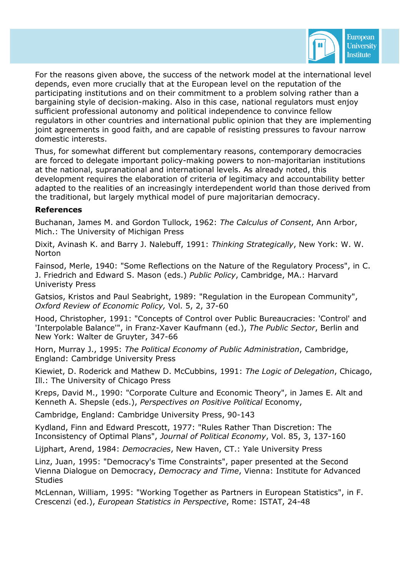

For the reasons given above, the success of the network model at the international level depends, even more crucially that at the European level on the reputation of the participating institutions and on their commitment to a problem solving rather than a bargaining style of decision-making. Also in this case, national regulators must enjoy sufficient professional autonomy and political independence to convince fellow regulators in other countries and international public opinion that they are implementing joint agreements in good faith, and are capable of resisting pressures to favour narrow domestic interests.

Thus, for somewhat different but complementary reasons, contemporary democracies are forced to delegate important policy-making powers to non-majoritarian institutions at the national, supranational and international levels. As already noted, this development requires the elaboration of criteria of legitimacy and accountability better adapted to the realities of an increasingly interdependent world than those derived from the traditional, but largely mythical model of pure majoritarian democracy.

#### **References**

Buchanan, James M. and Gordon Tullock, 1962: *The Calculus of Consent*, Ann Arbor, Mich.: The University of Michigan Press

Dixit, Avinash K. and Barry J. Nalebuff, 1991: *Thinking Strategically*, New York: W. W. **Norton** 

Fainsod, Merle, 1940: "Some Reflections on the Nature of the Regulatory Process", in C. J. Friedrich and Edward S. Mason (eds.) *Public Policy*, Cambridge, MA.: Harvard Univeristy Press

Gatsios, Kristos and Paul Seabright, 1989: "Regulation in the European Community", *Oxford Review of Economic Policy,* Vol. 5, 2, 37-60

Hood, Christopher, 1991: "Concepts of Control over Public Bureaucracies: 'Control' and 'Interpolable Balance'", in Franz-Xaver Kaufmann (ed.), *The Public Sector*, Berlin and New York: Walter de Gruyter, 347-66

Horn, Murray J., 1995: *The Political Economy of Public Administration*, Cambridge, England: Cambridge University Press

Kiewiet, D. Roderick and Mathew D. McCubbins, 1991: *The Logic of Delegation*, Chicago, Ill.: The University of Chicago Press

Kreps, David M., 1990: "Corporate Culture and Economic Theory", in James E. Alt and Kenneth A. Shepsle (eds.), *Perspectives on Positive Political* Economy,

Cambridge, England: Cambridge University Press, 90-143

Kydland, Finn and Edward Prescott, 1977: "Rules Rather Than Discretion: The Inconsistency of Optimal Plans", *Journal of Political Economy*, Vol. 85, 3, 137-160

Lijphart, Arend, 1984: *Democracies*, New Haven, CT.: Yale University Press

Linz, Juan, 1995: "Democracy's Time Constraints", paper presented at the Second Vienna Dialogue on Democracy, *Democracy and Time*, Vienna: Institute for Advanced **Studies** 

McLennan, William, 1995: "Working Together as Partners in European Statistics", in F. Crescenzi (ed.), *European Statistics in Perspective*, Rome: ISTAT, 24-48